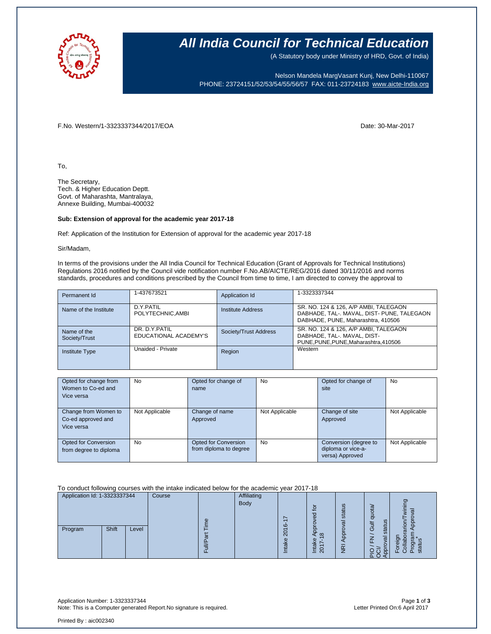

### **All India Council for Technical Education**

(A Statutory body under Ministry of HRD, Govt. of India)

Nelson Mandela MargVasant Kunj, New Delhi-110067 PHONE: 23724151/52/53/54/55/56/57 FAX: 011-23724183 [www.aicte-India.org](http://www.aicte-india.org/)

F.No. Western/1-3323337344/2017/EOA Date: 30-Mar-2017

To,

The Secretary, Tech. & Higher Education Deptt. Govt. of Maharashta, Mantralaya, Annexe Building, Mumbai-400032

#### **Sub: Extension of approval for the academic year 2017-18**

Ref: Application of the Institution for Extension of approval for the academic year 2017-18

Sir/Madam,

In terms of the provisions under the All India Council for Technical Education (Grant of Approvals for Technical Institutions) Regulations 2016 notified by the Council vide notification number F.No.AB/AICTE/REG/2016 dated 30/11/2016 and norms standards, procedures and conditions prescribed by the Council from time to time, I am directed to convey the approval to

| Permanent Id                 | 1-437673521                             | Application Id        | 1-3323337344                                                                                                              |
|------------------------------|-----------------------------------------|-----------------------|---------------------------------------------------------------------------------------------------------------------------|
| Name of the Institute        | D.Y.PATIL<br>POLYTECHNIC.AMBI           | Institute Address     | SR. NO. 124 & 126, A/P AMBI, TALEGAON<br>DABHADE, TAL-. MAVAL, DIST- PUNE, TALEGAON<br>DABHADE, PUNE, Maharashtra, 410506 |
| Name of the<br>Society/Trust | DR. D.Y. PATIL<br>EDUCATIONAL ACADEMY'S | Society/Trust Address | SR. NO. 124 & 126, A/P AMBI, TALEGAON<br>DABHADE, TAL-. MAVAL, DIST-<br>PUNE, PUNE, PUNE, Maharashtra, 410506             |
| <b>Institute Type</b>        | Unaided - Private                       | Region                | Western                                                                                                                   |

| Opted for change from<br>Women to Co-ed and<br>Vice versa | <b>No</b>      | Opted for change of<br>name                    | <b>No</b>      | Opted for change of<br>site                                    | No             |
|-----------------------------------------------------------|----------------|------------------------------------------------|----------------|----------------------------------------------------------------|----------------|
|                                                           |                |                                                |                |                                                                |                |
| Change from Women to<br>Co-ed approved and<br>Vice versa  | Not Applicable | Change of name<br>Approved                     | Not Applicable | Change of site<br>Approved                                     | Not Applicable |
| Opted for Conversion<br>from degree to diploma            | <b>No</b>      | Opted for Conversion<br>from diploma to degree | No             | Conversion (degree to<br>diploma or vice-a-<br>versa) Approved | Not Applicable |

To conduct following courses with the intake indicated below for the academic year 2017-18

| Application Id: 1-3323337344 |       | Course |      | <b>Affiliating</b> |                                       |                                                                |                                                                |                              |                                                 |                    |
|------------------------------|-------|--------|------|--------------------|---------------------------------------|----------------------------------------------------------------|----------------------------------------------------------------|------------------------------|-------------------------------------------------|--------------------|
|                              |       | Φ      | Body | $\circ$            | $\overline{5}$<br>ರ<br>$\overline{a}$ | ဖာ<br>stat<br>σ                                                | quota<br>tus<br>Gulf                                           | ත<br>$\overline{\mathsf{C}}$ |                                                 |                    |
| Program                      | Shift | Level  |      | ത                  |                                       | っ<br>$\overline{\mathsf{N}}$<br>Φ<br>$\overline{\mathfrak{a}}$ | $\infty$<br>ake<br>∼<br>$\overline{ }$<br>$\overline{20}$<br>≐ | 8<br>$\overline{\mathsf{E}}$ | stai<br>⇁<br>σ<br>ے<br>ū<br>ں<br>$\Omega$<br>ここ | ত<br>o<br>ō.<br>т. |

Application Number: 1-3323337344 Page **1** of **3** Note: This is a Computer generated Report.No signature is required.

Printed By : aic002340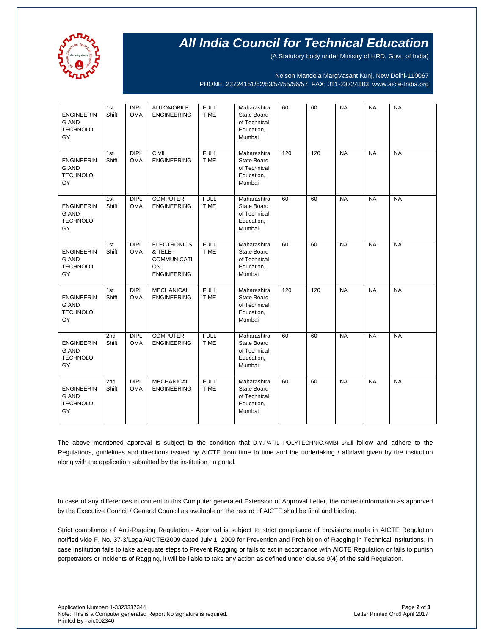

## **All India Council for Technical Education**

(A Statutory body under Ministry of HRD, Govt. of India)

Nelson Mandela MargVasant Kunj, New Delhi-110067 PHONE: 23724151/52/53/54/55/56/57 FAX: 011-23724183 [www.aicte-India.org](http://www.aicte-india.org/)

| <b>ENGINEERIN</b><br><b>G AND</b><br><b>TECHNOLO</b><br>GY | 1st<br>Shift             | DIPL<br><b>OMA</b>        | <b>AUTOMOBILE</b><br><b>ENGINEERING</b>                                         | <b>FULL</b><br><b>TIME</b> | Maharashtra<br>State Board<br>of Technical<br>Education,<br>Mumbai | 60  | 60  | <b>NA</b> | <b>NA</b> | <b>NA</b> |
|------------------------------------------------------------|--------------------------|---------------------------|---------------------------------------------------------------------------------|----------------------------|--------------------------------------------------------------------|-----|-----|-----------|-----------|-----------|
| <b>ENGINEERIN</b><br>G AND<br><b>TECHNOLO</b><br>GY        | 1st<br>Shift             | <b>DIPL</b><br><b>OMA</b> | <b>CIVIL</b><br><b>ENGINEERING</b>                                              | <b>FULL</b><br><b>TIME</b> | Maharashtra<br>State Board<br>of Technical<br>Education,<br>Mumbai | 120 | 120 | <b>NA</b> | <b>NA</b> | <b>NA</b> |
| <b>ENGINEERIN</b><br>G AND<br><b>TECHNOLO</b><br>GY        | 1st<br>Shift             | <b>DIPL</b><br><b>OMA</b> | <b>COMPUTER</b><br><b>ENGINEERING</b>                                           | <b>FULL</b><br><b>TIME</b> | Maharashtra<br>State Board<br>of Technical<br>Education,<br>Mumbai | 60  | 60  | <b>NA</b> | <b>NA</b> | <b>NA</b> |
| <b>ENGINEERIN</b><br>G AND<br><b>TECHNOLO</b><br>GY        | 1st<br>Shift             | <b>DIPL</b><br><b>OMA</b> | <b>ELECTRONICS</b><br>& TELE-<br><b>COMMUNICATI</b><br>ON<br><b>ENGINEERING</b> | <b>FULL</b><br><b>TIME</b> | Maharashtra<br>State Board<br>of Technical<br>Education,<br>Mumbai | 60  | 60  | <b>NA</b> | <b>NA</b> | <b>NA</b> |
| <b>ENGINEERIN</b><br>G AND<br><b>TECHNOLO</b><br>GY        | 1st<br>Shift             | <b>DIPL</b><br><b>OMA</b> | <b>MECHANICAL</b><br><b>ENGINEERING</b>                                         | <b>FULL</b><br><b>TIME</b> | Maharashtra<br>State Board<br>of Technical<br>Education,<br>Mumbai | 120 | 120 | <b>NA</b> | <b>NA</b> | <b>NA</b> |
| <b>ENGINEERIN</b><br><b>G AND</b><br><b>TECHNOLO</b><br>GY | 2nd<br>Shift             | <b>DIPL</b><br><b>OMA</b> | <b>COMPUTER</b><br><b>ENGINEERING</b>                                           | <b>FULL</b><br><b>TIME</b> | Maharashtra<br>State Board<br>of Technical<br>Education,<br>Mumbai | 60  | 60  | <b>NA</b> | <b>NA</b> | <b>NA</b> |
| <b>ENGINEERIN</b><br><b>G AND</b><br><b>TECHNOLO</b><br>GY | 2 <sub>nd</sub><br>Shift | <b>DIPL</b><br><b>OMA</b> | <b>MECHANICAL</b><br><b>ENGINEERING</b>                                         | <b>FULL</b><br><b>TIME</b> | Maharashtra<br>State Board<br>of Technical<br>Education,<br>Mumbai | 60  | 60  | <b>NA</b> | <b>NA</b> | <b>NA</b> |

The above mentioned approval is subject to the condition that D.Y.PATIL POLYTECHNIC,AMBI shall follow and adhere to the Regulations, guidelines and directions issued by AICTE from time to time and the undertaking / affidavit given by the institution along with the application submitted by the institution on portal.

In case of any differences in content in this Computer generated Extension of Approval Letter, the content/information as approved by the Executive Council / General Council as available on the record of AICTE shall be final and binding.

Strict compliance of Anti-Ragging Regulation:- Approval is subject to strict compliance of provisions made in AICTE Regulation notified vide F. No. 37-3/Legal/AICTE/2009 dated July 1, 2009 for Prevention and Prohibition of Ragging in Technical Institutions. In case Institution fails to take adequate steps to Prevent Ragging or fails to act in accordance with AICTE Regulation or fails to punish perpetrators or incidents of Ragging, it will be liable to take any action as defined under clause 9(4) of the said Regulation.